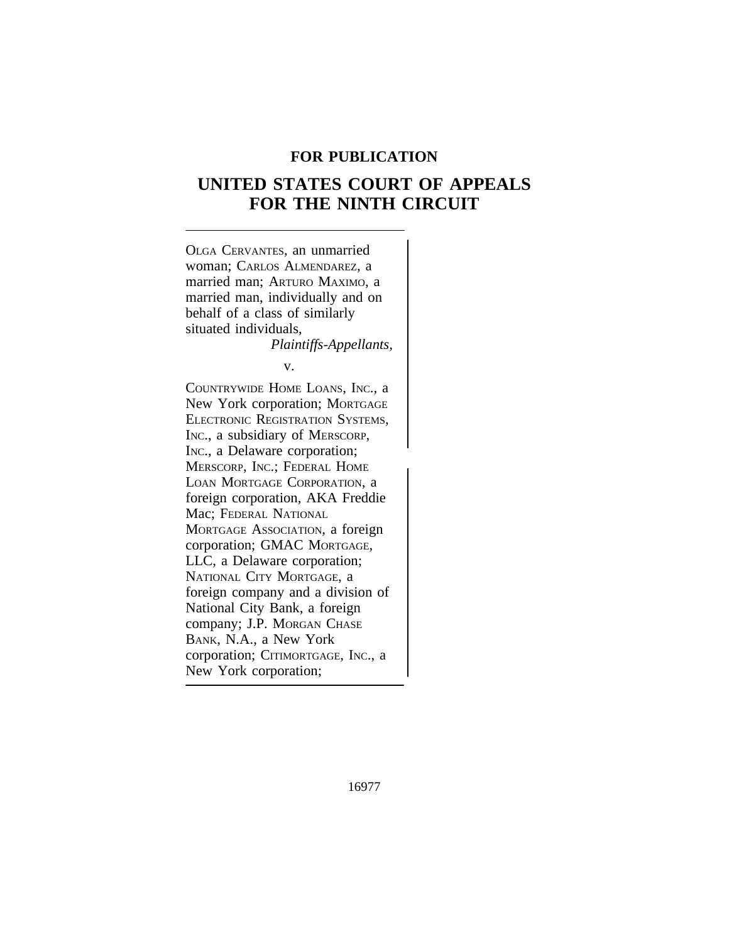# **FOR PUBLICATION**

# **UNITED STATES COURT OF APPEALS FOR THE NINTH CIRCUIT**



16977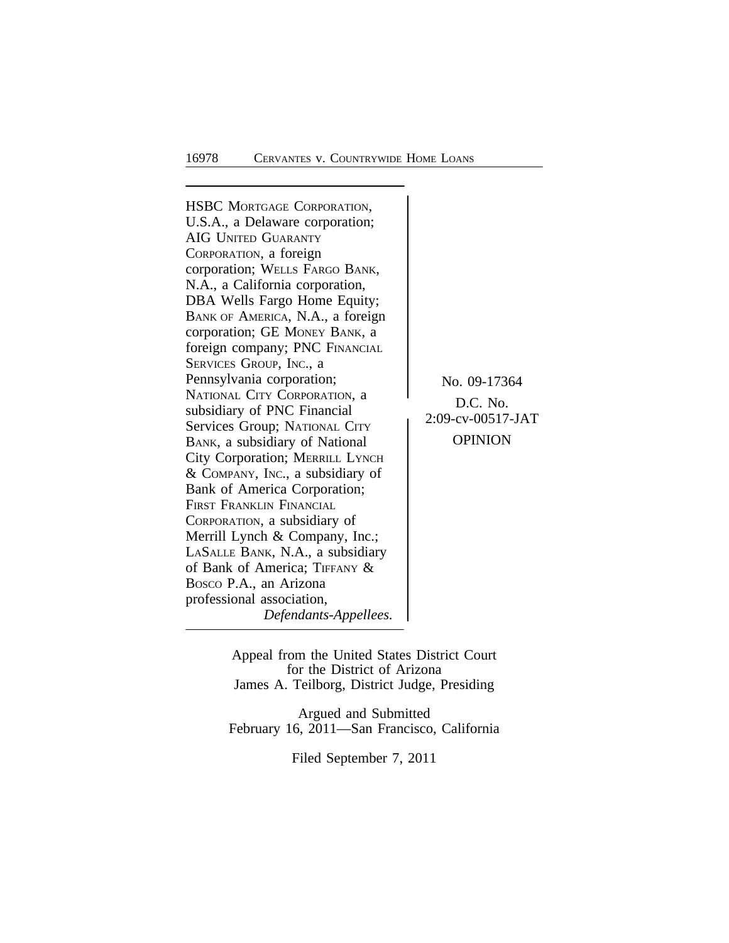HSBC MORTGAGE CORPORATION, U.S.A., a Delaware corporation; AIG UNITED GUARANTY CORPORATION, a foreign corporation; WELLS FARGO BANK, N.A., a California corporation, DBA Wells Fargo Home Equity; BANK OF AMERICA, N.A., a foreign corporation; GE MONEY BANK, a foreign company; PNC FINANCIAL SERVICES GROUP, INC., a Pennsylvania corporation;<br>
No. 09-17364<br>
National City Corporation, a NATIONAL CITY CORPORATION, a<br>
subsidiary of PNC Financial Services Group; NATIONAL CITY<br>
BANK a subsidiary of National OPINION BANK, a subsidiary of National City Corporation; MERRILL LYNCH & COMPANY, INC., a subsidiary of Bank of America Corporation; FIRST FRANKLIN FINANCIAL CORPORATION, a subsidiary of Merrill Lynch & Company, Inc.; LASALLE BANK, N.A., a subsidiary of Bank of America; TIFFANY & BOSCO P.A., an Arizona professional association, *Defendants-Appellees.*

Appeal from the United States District Court for the District of Arizona James A. Teilborg, District Judge, Presiding

Argued and Submitted February 16, 2011—San Francisco, California

Filed September 7, 2011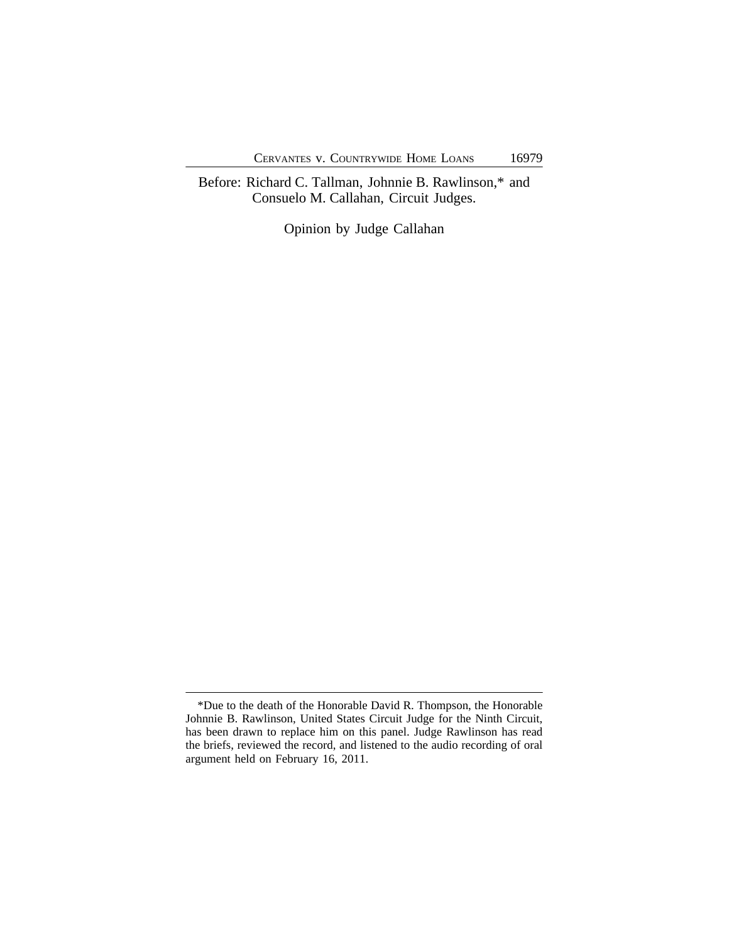Before: Richard C. Tallman, Johnnie B. Rawlinson,\* and Consuelo M. Callahan, Circuit Judges.

Opinion by Judge Callahan

<sup>\*</sup>Due to the death of the Honorable David R. Thompson, the Honorable Johnnie B. Rawlinson, United States Circuit Judge for the Ninth Circuit, has been drawn to replace him on this panel. Judge Rawlinson has read the briefs, reviewed the record, and listened to the audio recording of oral argument held on February 16, 2011.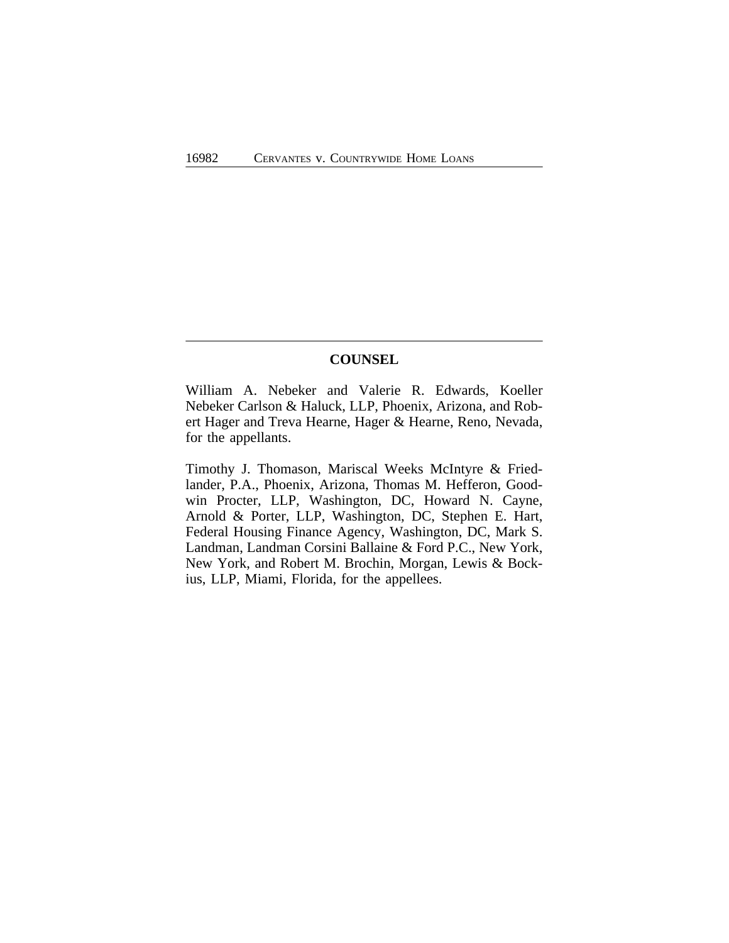# **COUNSEL**

William A. Nebeker and Valerie R. Edwards, Koeller Nebeker Carlson & Haluck, LLP, Phoenix, Arizona, and Robert Hager and Treva Hearne, Hager & Hearne, Reno, Nevada, for the appellants.

Timothy J. Thomason, Mariscal Weeks McIntyre & Friedlander, P.A., Phoenix, Arizona, Thomas M. Hefferon, Goodwin Procter, LLP, Washington, DC, Howard N. Cayne, Arnold & Porter, LLP, Washington, DC, Stephen E. Hart, Federal Housing Finance Agency, Washington, DC, Mark S. Landman, Landman Corsini Ballaine & Ford P.C., New York, New York, and Robert M. Brochin, Morgan, Lewis & Bockius, LLP, Miami, Florida, for the appellees.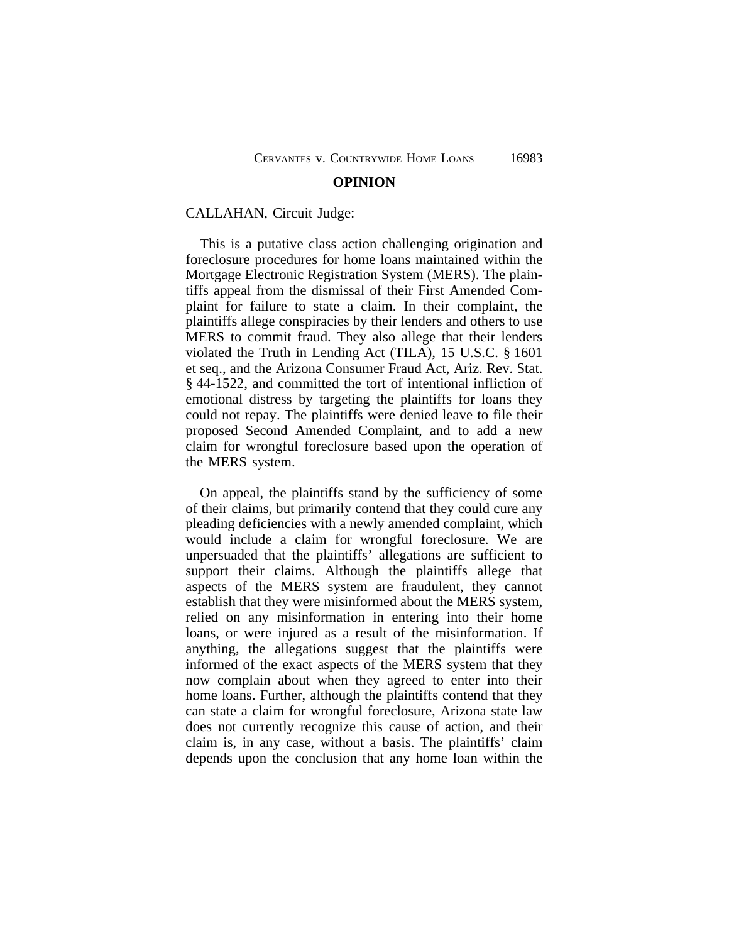#### **OPINION**

#### CALLAHAN, Circuit Judge:

This is a putative class action challenging origination and foreclosure procedures for home loans maintained within the Mortgage Electronic Registration System (MERS). The plaintiffs appeal from the dismissal of their First Amended Complaint for failure to state a claim. In their complaint, the plaintiffs allege conspiracies by their lenders and others to use MERS to commit fraud. They also allege that their lenders violated the Truth in Lending Act (TILA), 15 U.S.C. § 1601 et seq., and the Arizona Consumer Fraud Act, Ariz. Rev. Stat. § 44-1522, and committed the tort of intentional infliction of emotional distress by targeting the plaintiffs for loans they could not repay. The plaintiffs were denied leave to file their proposed Second Amended Complaint, and to add a new claim for wrongful foreclosure based upon the operation of the MERS system.

On appeal, the plaintiffs stand by the sufficiency of some of their claims, but primarily contend that they could cure any pleading deficiencies with a newly amended complaint, which would include a claim for wrongful foreclosure. We are unpersuaded that the plaintiffs' allegations are sufficient to support their claims. Although the plaintiffs allege that aspects of the MERS system are fraudulent, they cannot establish that they were misinformed about the MERS system, relied on any misinformation in entering into their home loans, or were injured as a result of the misinformation. If anything, the allegations suggest that the plaintiffs were informed of the exact aspects of the MERS system that they now complain about when they agreed to enter into their home loans. Further, although the plaintiffs contend that they can state a claim for wrongful foreclosure, Arizona state law does not currently recognize this cause of action, and their claim is, in any case, without a basis. The plaintiffs' claim depends upon the conclusion that any home loan within the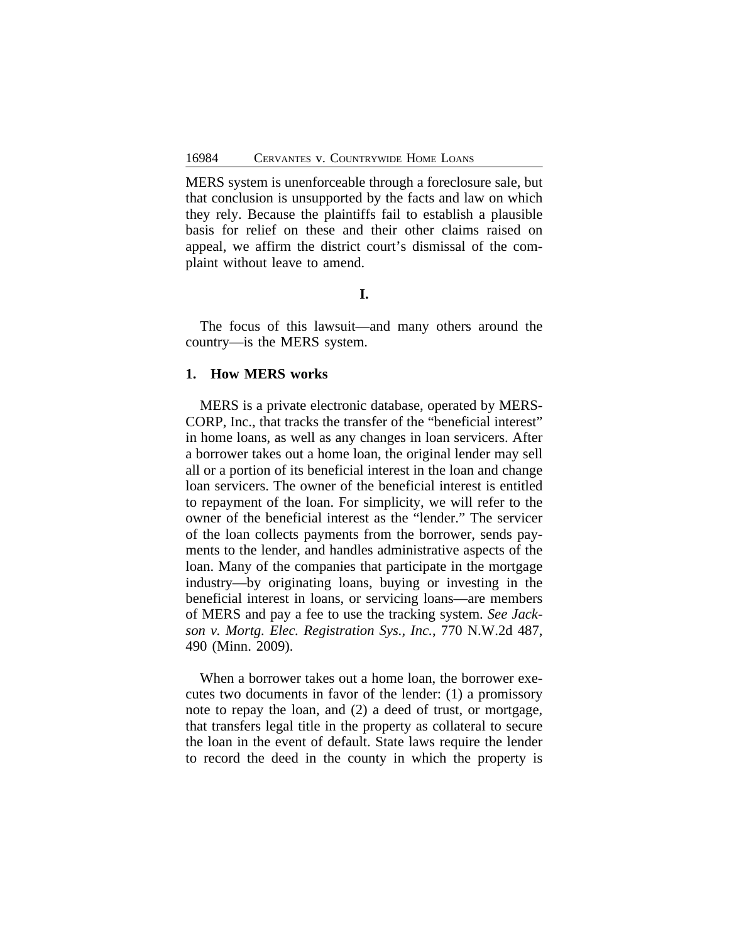MERS system is unenforceable through a foreclosure sale, but that conclusion is unsupported by the facts and law on which they rely. Because the plaintiffs fail to establish a plausible basis for relief on these and their other claims raised on appeal, we affirm the district court's dismissal of the complaint without leave to amend.

**I.**

The focus of this lawsuit—and many others around the country—is the MERS system.

### **1. How MERS works**

MERS is a private electronic database, operated by MERS-CORP, Inc., that tracks the transfer of the "beneficial interest" in home loans, as well as any changes in loan servicers. After a borrower takes out a home loan, the original lender may sell all or a portion of its beneficial interest in the loan and change loan servicers. The owner of the beneficial interest is entitled to repayment of the loan. For simplicity, we will refer to the owner of the beneficial interest as the "lender." The servicer of the loan collects payments from the borrower, sends payments to the lender, and handles administrative aspects of the loan. Many of the companies that participate in the mortgage industry—by originating loans, buying or investing in the beneficial interest in loans, or servicing loans—are members of MERS and pay a fee to use the tracking system. *See Jackson v. Mortg. Elec. Registration Sys., Inc.*, 770 N.W.2d 487, 490 (Minn. 2009).

When a borrower takes out a home loan, the borrower executes two documents in favor of the lender: (1) a promissory note to repay the loan, and (2) a deed of trust, or mortgage, that transfers legal title in the property as collateral to secure the loan in the event of default. State laws require the lender to record the deed in the county in which the property is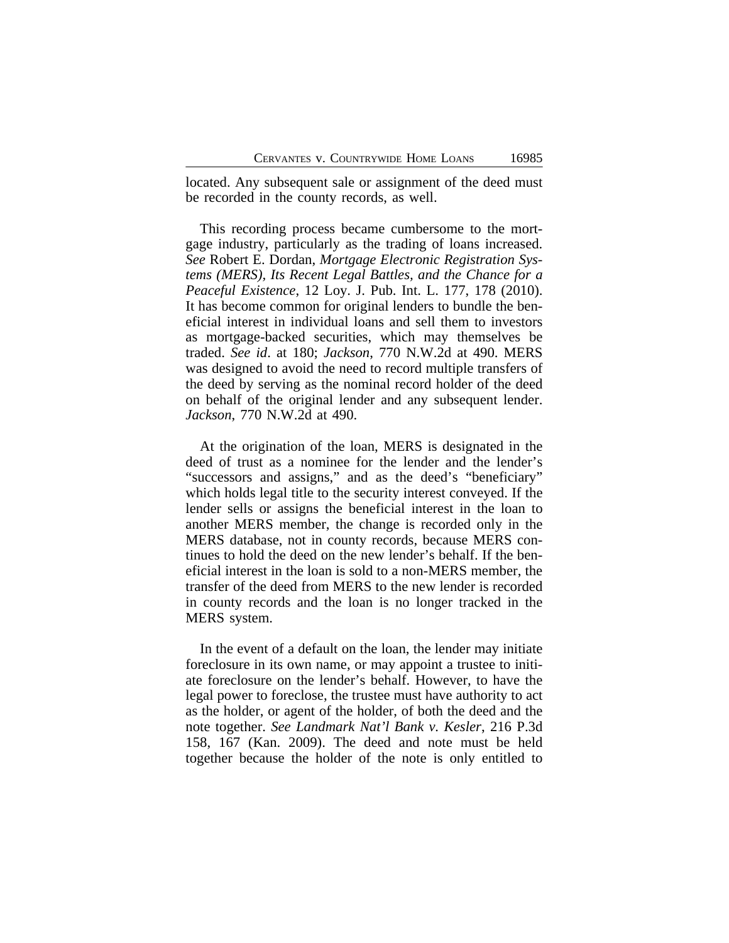located. Any subsequent sale or assignment of the deed must be recorded in the county records, as well.

This recording process became cumbersome to the mortgage industry, particularly as the trading of loans increased. *See* Robert E. Dordan, *Mortgage Electronic Registration Systems (MERS), Its Recent Legal Battles, and the Chance for a Peaceful Existence*, 12 Loy. J. Pub. Int. L. 177, 178 (2010). It has become common for original lenders to bundle the beneficial interest in individual loans and sell them to investors as mortgage-backed securities, which may themselves be traded. *See id*. at 180; *Jackson*, 770 N.W.2d at 490. MERS was designed to avoid the need to record multiple transfers of the deed by serving as the nominal record holder of the deed on behalf of the original lender and any subsequent lender. *Jackson*, 770 N.W.2d at 490.

At the origination of the loan, MERS is designated in the deed of trust as a nominee for the lender and the lender's "successors and assigns," and as the deed's "beneficiary" which holds legal title to the security interest conveyed. If the lender sells or assigns the beneficial interest in the loan to another MERS member, the change is recorded only in the MERS database, not in county records, because MERS continues to hold the deed on the new lender's behalf. If the beneficial interest in the loan is sold to a non-MERS member, the transfer of the deed from MERS to the new lender is recorded in county records and the loan is no longer tracked in the MERS system.

In the event of a default on the loan, the lender may initiate foreclosure in its own name, or may appoint a trustee to initiate foreclosure on the lender's behalf. However, to have the legal power to foreclose, the trustee must have authority to act as the holder, or agent of the holder, of both the deed and the note together. *See Landmark Nat'l Bank v. Kesler*, 216 P.3d 158, 167 (Kan. 2009). The deed and note must be held together because the holder of the note is only entitled to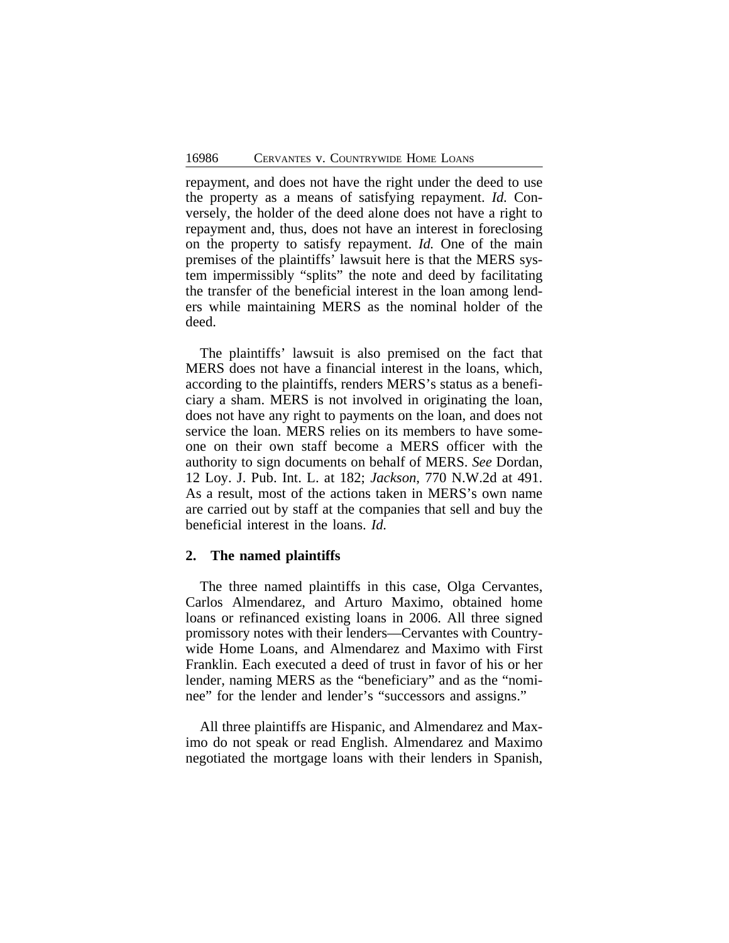repayment, and does not have the right under the deed to use the property as a means of satisfying repayment. *Id.* Conversely, the holder of the deed alone does not have a right to repayment and, thus, does not have an interest in foreclosing on the property to satisfy repayment. *Id.* One of the main premises of the plaintiffs' lawsuit here is that the MERS system impermissibly "splits" the note and deed by facilitating the transfer of the beneficial interest in the loan among lenders while maintaining MERS as the nominal holder of the deed.

The plaintiffs' lawsuit is also premised on the fact that MERS does not have a financial interest in the loans, which, according to the plaintiffs, renders MERS's status as a beneficiary a sham. MERS is not involved in originating the loan, does not have any right to payments on the loan, and does not service the loan. MERS relies on its members to have someone on their own staff become a MERS officer with the authority to sign documents on behalf of MERS. *See* Dordan, 12 Loy. J. Pub. Int. L. at 182; *Jackson*, 770 N.W.2d at 491. As a result, most of the actions taken in MERS's own name are carried out by staff at the companies that sell and buy the beneficial interest in the loans. *Id.*

### **2. The named plaintiffs**

The three named plaintiffs in this case, Olga Cervantes, Carlos Almendarez, and Arturo Maximo, obtained home loans or refinanced existing loans in 2006. All three signed promissory notes with their lenders—Cervantes with Countrywide Home Loans, and Almendarez and Maximo with First Franklin. Each executed a deed of trust in favor of his or her lender, naming MERS as the "beneficiary" and as the "nominee" for the lender and lender's "successors and assigns."

All three plaintiffs are Hispanic, and Almendarez and Maximo do not speak or read English. Almendarez and Maximo negotiated the mortgage loans with their lenders in Spanish,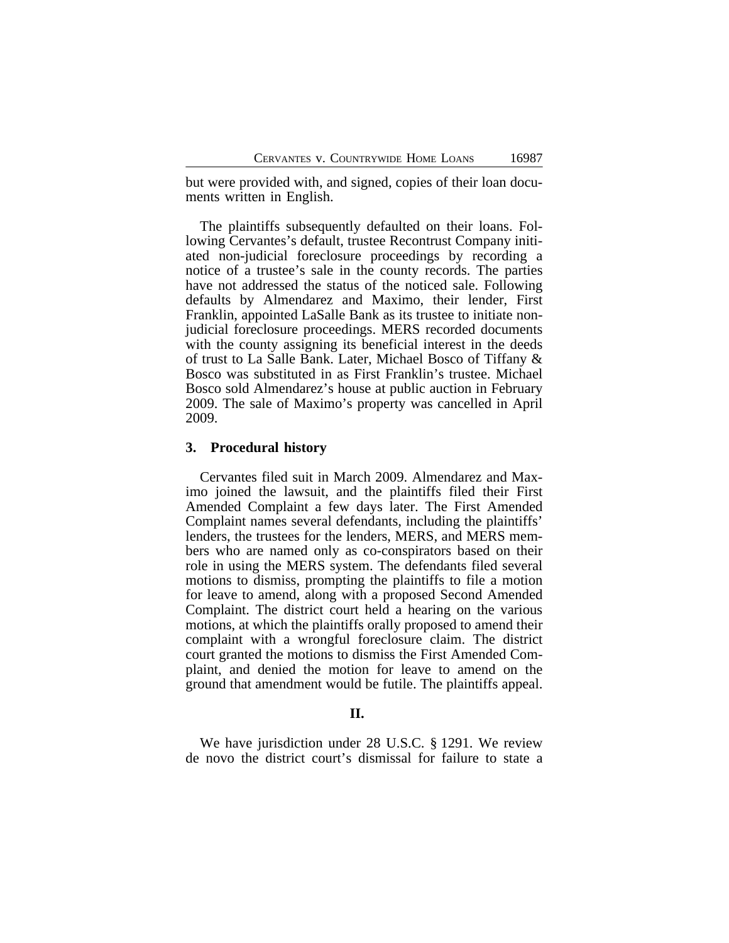but were provided with, and signed, copies of their loan documents written in English.

The plaintiffs subsequently defaulted on their loans. Following Cervantes's default, trustee Recontrust Company initiated non-judicial foreclosure proceedings by recording a notice of a trustee's sale in the county records. The parties have not addressed the status of the noticed sale. Following defaults by Almendarez and Maximo, their lender, First Franklin, appointed LaSalle Bank as its trustee to initiate nonjudicial foreclosure proceedings. MERS recorded documents with the county assigning its beneficial interest in the deeds of trust to La Salle Bank. Later, Michael Bosco of Tiffany & Bosco was substituted in as First Franklin's trustee. Michael Bosco sold Almendarez's house at public auction in February 2009. The sale of Maximo's property was cancelled in April 2009.

#### **3. Procedural history**

Cervantes filed suit in March 2009. Almendarez and Maximo joined the lawsuit, and the plaintiffs filed their First Amended Complaint a few days later. The First Amended Complaint names several defendants, including the plaintiffs' lenders, the trustees for the lenders, MERS, and MERS members who are named only as co-conspirators based on their role in using the MERS system. The defendants filed several motions to dismiss, prompting the plaintiffs to file a motion for leave to amend, along with a proposed Second Amended Complaint. The district court held a hearing on the various motions, at which the plaintiffs orally proposed to amend their complaint with a wrongful foreclosure claim. The district court granted the motions to dismiss the First Amended Complaint, and denied the motion for leave to amend on the ground that amendment would be futile. The plaintiffs appeal.

#### **II.**

We have jurisdiction under 28 U.S.C. § 1291. We review de novo the district court's dismissal for failure to state a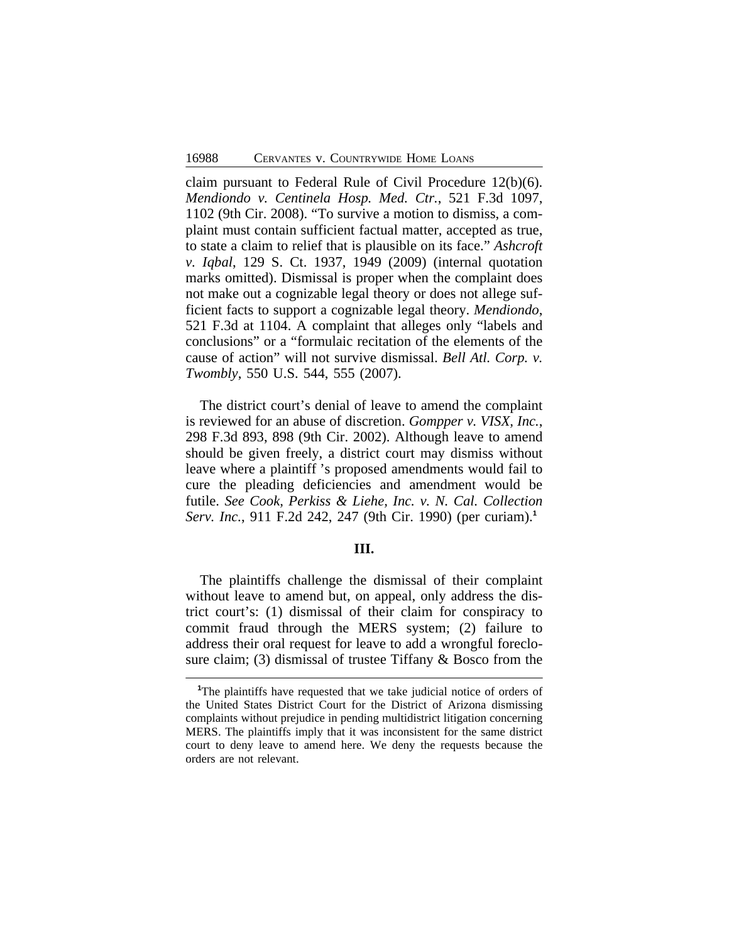claim pursuant to Federal Rule of Civil Procedure 12(b)(6). *Mendiondo v. Centinela Hosp. Med. Ctr.*, 521 F.3d 1097, 1102 (9th Cir. 2008). "To survive a motion to dismiss, a complaint must contain sufficient factual matter, accepted as true, to state a claim to relief that is plausible on its face." *Ashcroft v. Iqbal*, 129 S. Ct. 1937, 1949 (2009) (internal quotation marks omitted). Dismissal is proper when the complaint does not make out a cognizable legal theory or does not allege sufficient facts to support a cognizable legal theory. *Mendiondo*, 521 F.3d at 1104. A complaint that alleges only "labels and conclusions" or a "formulaic recitation of the elements of the cause of action" will not survive dismissal. *Bell Atl. Corp. v. Twombly*, 550 U.S. 544, 555 (2007).

The district court's denial of leave to amend the complaint is reviewed for an abuse of discretion. *Gompper v. VISX, Inc.*, 298 F.3d 893, 898 (9th Cir. 2002). Although leave to amend should be given freely, a district court may dismiss without leave where a plaintiff 's proposed amendments would fail to cure the pleading deficiencies and amendment would be futile. *See Cook, Perkiss & Liehe, Inc. v. N. Cal. Collection Serv. Inc.*, 911 F.2d 242, 247 (9th Cir. 1990) (per curiam).**<sup>1</sup>**

## **III.**

The plaintiffs challenge the dismissal of their complaint without leave to amend but, on appeal, only address the district court's: (1) dismissal of their claim for conspiracy to commit fraud through the MERS system; (2) failure to address their oral request for leave to add a wrongful foreclosure claim; (3) dismissal of trustee Tiffany & Bosco from the

**<sup>1</sup>**The plaintiffs have requested that we take judicial notice of orders of the United States District Court for the District of Arizona dismissing complaints without prejudice in pending multidistrict litigation concerning MERS. The plaintiffs imply that it was inconsistent for the same district court to deny leave to amend here. We deny the requests because the orders are not relevant.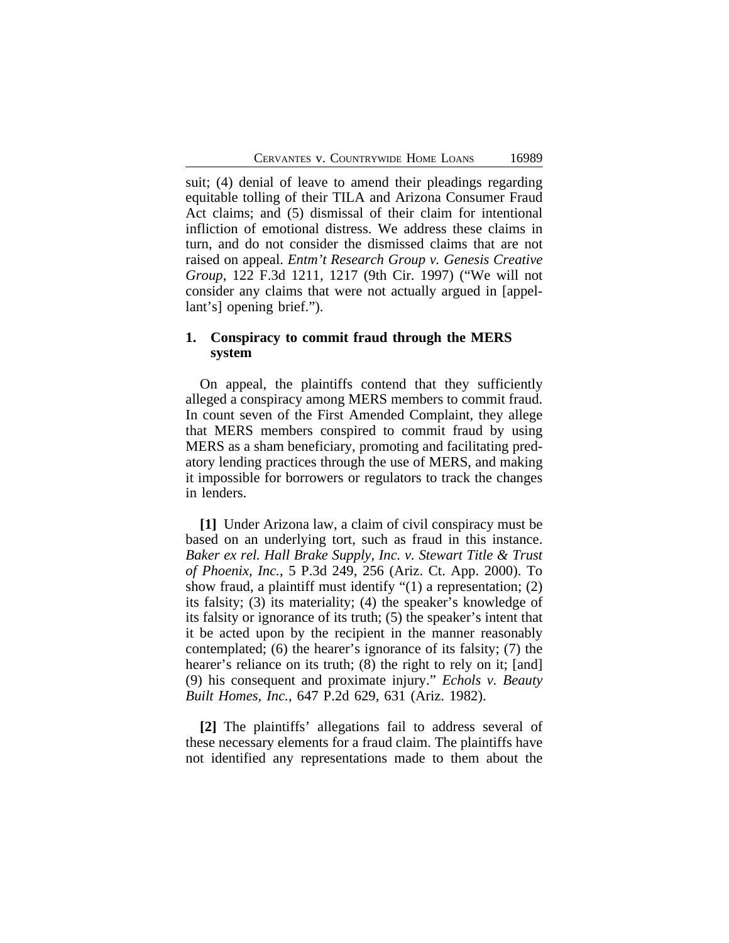suit; (4) denial of leave to amend their pleadings regarding equitable tolling of their TILA and Arizona Consumer Fraud Act claims; and (5) dismissal of their claim for intentional infliction of emotional distress. We address these claims in turn, and do not consider the dismissed claims that are not raised on appeal. *Entm't Research Group v. Genesis Creative Group*, 122 F.3d 1211, 1217 (9th Cir. 1997) ("We will not consider any claims that were not actually argued in [appellant's] opening brief.").

# **1. Conspiracy to commit fraud through the MERS system**

On appeal, the plaintiffs contend that they sufficiently alleged a conspiracy among MERS members to commit fraud. In count seven of the First Amended Complaint, they allege that MERS members conspired to commit fraud by using MERS as a sham beneficiary, promoting and facilitating predatory lending practices through the use of MERS, and making it impossible for borrowers or regulators to track the changes in lenders.

**[1]** Under Arizona law, a claim of civil conspiracy must be based on an underlying tort, such as fraud in this instance. *Baker ex rel. Hall Brake Supply, Inc. v. Stewart Title & Trust of Phoenix, Inc.*, 5 P.3d 249, 256 (Ariz. Ct. App. 2000). To show fraud, a plaintiff must identify "(1) a representation; (2) its falsity; (3) its materiality; (4) the speaker's knowledge of its falsity or ignorance of its truth; (5) the speaker's intent that it be acted upon by the recipient in the manner reasonably contemplated; (6) the hearer's ignorance of its falsity; (7) the hearer's reliance on its truth; (8) the right to rely on it; [and] (9) his consequent and proximate injury." *Echols v. Beauty Built Homes, Inc.*, 647 P.2d 629, 631 (Ariz. 1982).

**[2]** The plaintiffs' allegations fail to address several of these necessary elements for a fraud claim. The plaintiffs have not identified any representations made to them about the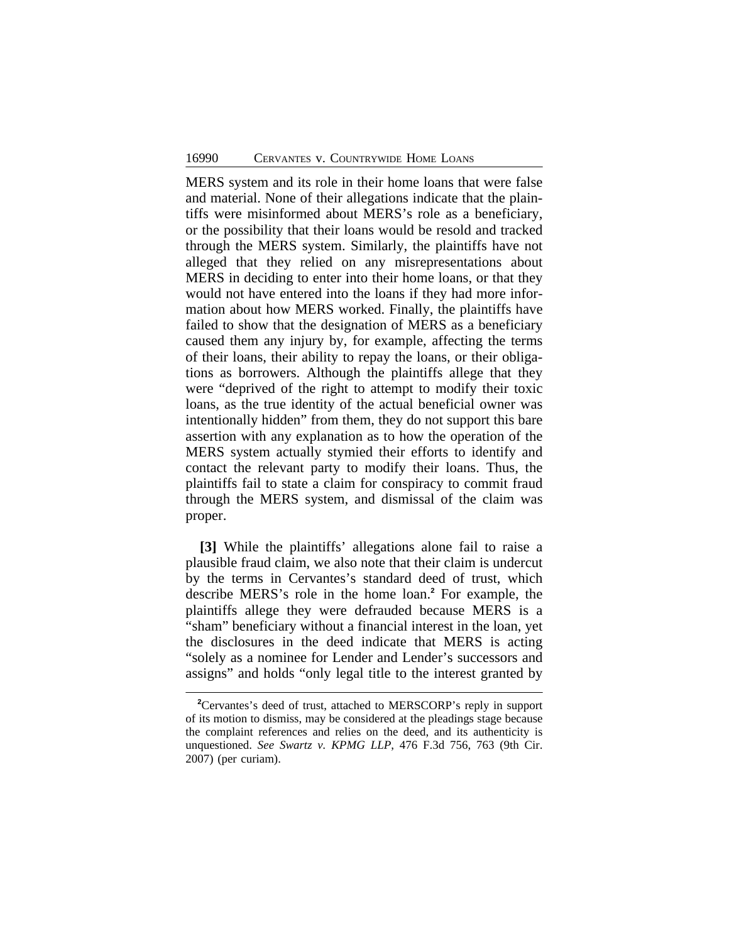MERS system and its role in their home loans that were false and material. None of their allegations indicate that the plaintiffs were misinformed about MERS's role as a beneficiary, or the possibility that their loans would be resold and tracked through the MERS system. Similarly, the plaintiffs have not alleged that they relied on any misrepresentations about MERS in deciding to enter into their home loans, or that they would not have entered into the loans if they had more information about how MERS worked. Finally, the plaintiffs have failed to show that the designation of MERS as a beneficiary caused them any injury by, for example, affecting the terms of their loans, their ability to repay the loans, or their obligations as borrowers. Although the plaintiffs allege that they were "deprived of the right to attempt to modify their toxic loans, as the true identity of the actual beneficial owner was intentionally hidden" from them, they do not support this bare assertion with any explanation as to how the operation of the MERS system actually stymied their efforts to identify and contact the relevant party to modify their loans. Thus, the plaintiffs fail to state a claim for conspiracy to commit fraud through the MERS system, and dismissal of the claim was proper.

**[3]** While the plaintiffs' allegations alone fail to raise a plausible fraud claim, we also note that their claim is undercut by the terms in Cervantes's standard deed of trust, which describe MERS's role in the home loan.**<sup>2</sup>** For example, the plaintiffs allege they were defrauded because MERS is a "sham" beneficiary without a financial interest in the loan, yet the disclosures in the deed indicate that MERS is acting "solely as a nominee for Lender and Lender's successors and assigns" and holds "only legal title to the interest granted by

**<sup>2</sup>**Cervantes's deed of trust, attached to MERSCORP's reply in support of its motion to dismiss, may be considered at the pleadings stage because the complaint references and relies on the deed, and its authenticity is unquestioned. *See Swartz v. KPMG LLP*, 476 F.3d 756, 763 (9th Cir. 2007) (per curiam).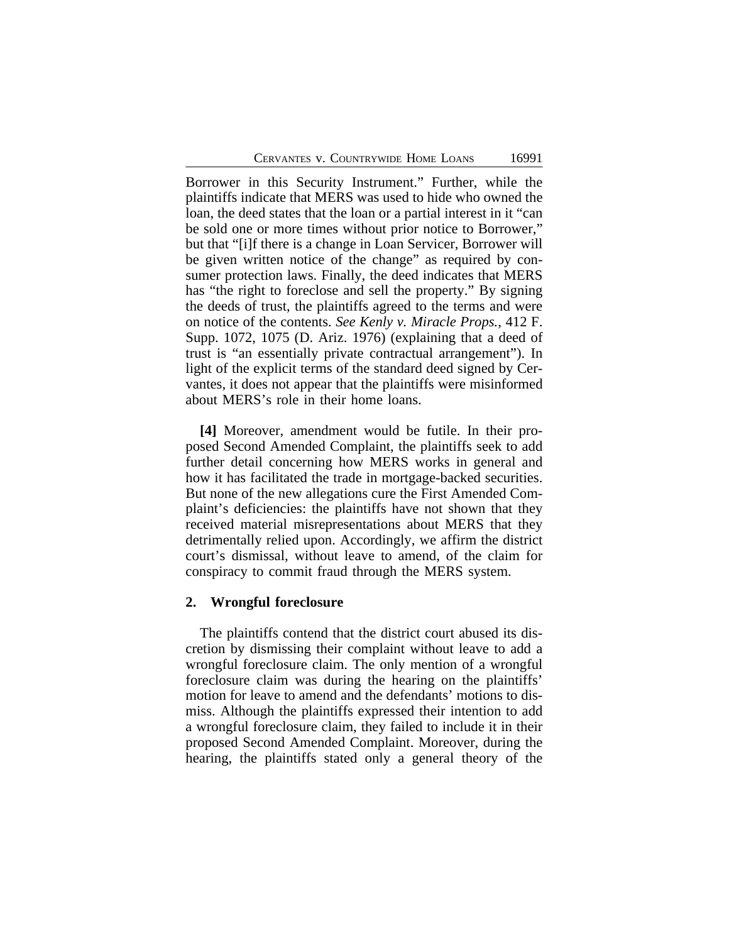Borrower in this Security Instrument." Further, while the plaintiffs indicate that MERS was used to hide who owned the loan, the deed states that the loan or a partial interest in it "can be sold one or more times without prior notice to Borrower," but that "[i]f there is a change in Loan Servicer, Borrower will be given written notice of the change" as required by consumer protection laws. Finally, the deed indicates that MERS has "the right to foreclose and sell the property." By signing the deeds of trust, the plaintiffs agreed to the terms and were on notice of the contents. *See Kenly v. Miracle Props.*, 412 F. Supp. 1072, 1075 (D. Ariz. 1976) (explaining that a deed of trust is "an essentially private contractual arrangement"). In light of the explicit terms of the standard deed signed by Cervantes, it does not appear that the plaintiffs were misinformed about MERS's role in their home loans.

**[4]** Moreover, amendment would be futile. In their proposed Second Amended Complaint, the plaintiffs seek to add further detail concerning how MERS works in general and how it has facilitated the trade in mortgage-backed securities. But none of the new allegations cure the First Amended Complaint's deficiencies: the plaintiffs have not shown that they received material misrepresentations about MERS that they detrimentally relied upon. Accordingly, we affirm the district court's dismissal, without leave to amend, of the claim for conspiracy to commit fraud through the MERS system.

### **2. Wrongful foreclosure**

The plaintiffs contend that the district court abused its discretion by dismissing their complaint without leave to add a wrongful foreclosure claim. The only mention of a wrongful foreclosure claim was during the hearing on the plaintiffs' motion for leave to amend and the defendants' motions to dismiss. Although the plaintiffs expressed their intention to add a wrongful foreclosure claim, they failed to include it in their proposed Second Amended Complaint. Moreover, during the hearing, the plaintiffs stated only a general theory of the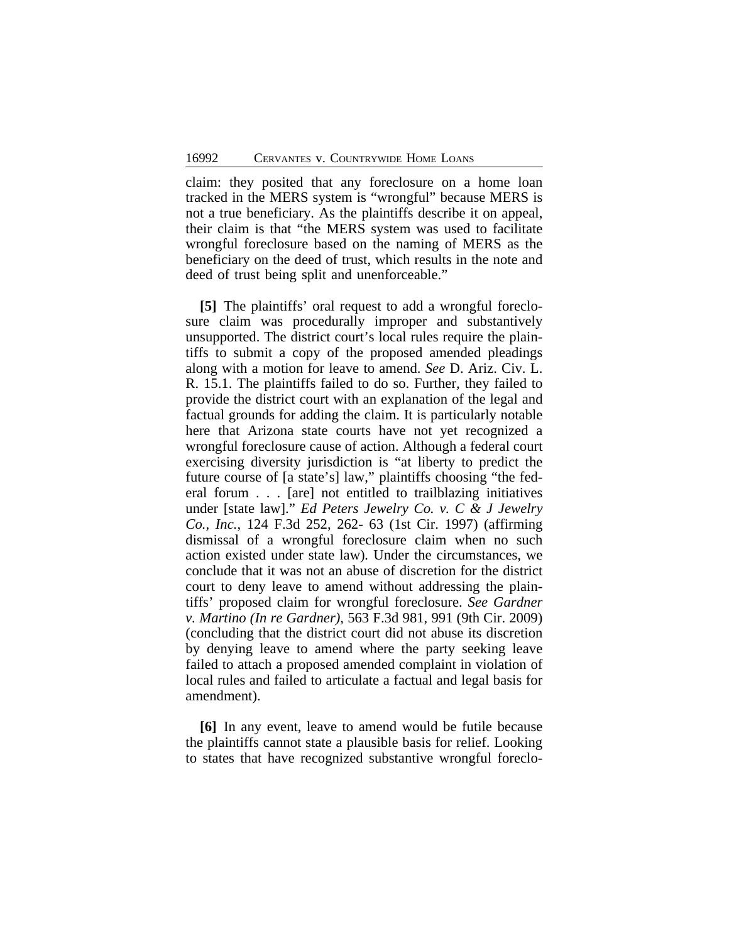claim: they posited that any foreclosure on a home loan tracked in the MERS system is "wrongful" because MERS is not a true beneficiary. As the plaintiffs describe it on appeal, their claim is that "the MERS system was used to facilitate wrongful foreclosure based on the naming of MERS as the beneficiary on the deed of trust, which results in the note and deed of trust being split and unenforceable."

**[5]** The plaintiffs' oral request to add a wrongful foreclosure claim was procedurally improper and substantively unsupported. The district court's local rules require the plaintiffs to submit a copy of the proposed amended pleadings along with a motion for leave to amend. *See* D. Ariz. Civ. L. R. 15.1. The plaintiffs failed to do so. Further, they failed to provide the district court with an explanation of the legal and factual grounds for adding the claim. It is particularly notable here that Arizona state courts have not yet recognized a wrongful foreclosure cause of action. Although a federal court exercising diversity jurisdiction is "at liberty to predict the future course of [a state's] law," plaintiffs choosing "the federal forum . . . [are] not entitled to trailblazing initiatives under [state law]." *Ed Peters Jewelry Co. v. C & J Jewelry Co., Inc.*, 124 F.3d 252, 262- 63 (1st Cir. 1997) (affirming dismissal of a wrongful foreclosure claim when no such action existed under state law)*.* Under the circumstances, we conclude that it was not an abuse of discretion for the district court to deny leave to amend without addressing the plaintiffs' proposed claim for wrongful foreclosure. *See Gardner v. Martino (In re Gardner)*, 563 F.3d 981, 991 (9th Cir. 2009) (concluding that the district court did not abuse its discretion by denying leave to amend where the party seeking leave failed to attach a proposed amended complaint in violation of local rules and failed to articulate a factual and legal basis for amendment).

**[6]** In any event, leave to amend would be futile because the plaintiffs cannot state a plausible basis for relief. Looking to states that have recognized substantive wrongful foreclo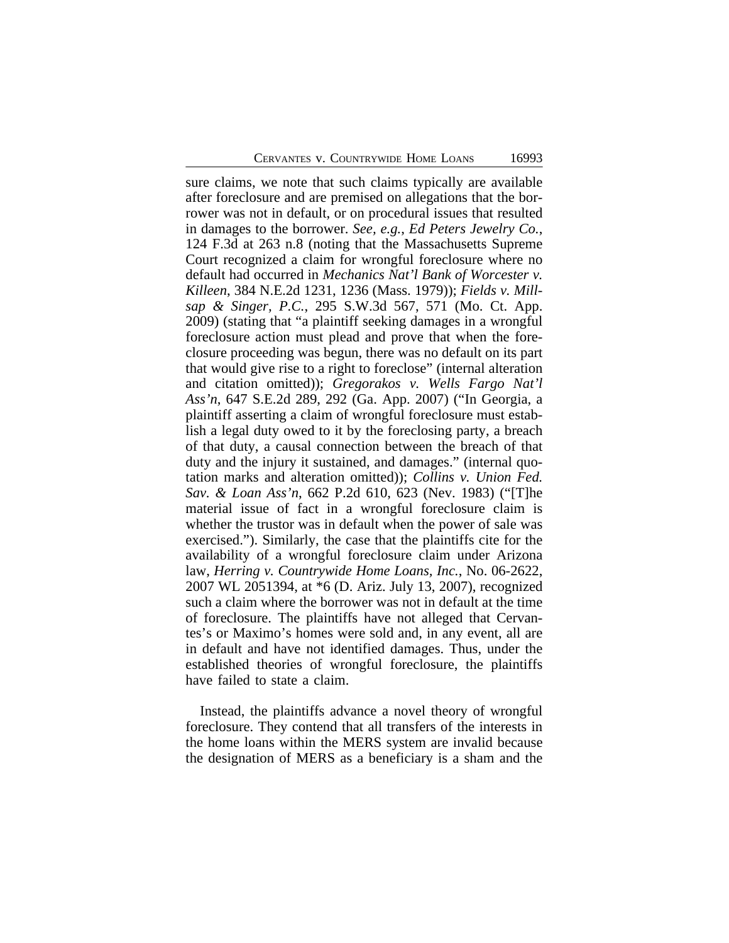sure claims, we note that such claims typically are available after foreclosure and are premised on allegations that the borrower was not in default, or on procedural issues that resulted in damages to the borrower. *See, e.g.*, *Ed Peters Jewelry Co.*, 124 F.3d at 263 n.8 (noting that the Massachusetts Supreme Court recognized a claim for wrongful foreclosure where no default had occurred in *Mechanics Nat'l Bank of Worcester v. Killeen*, 384 N.E.2d 1231, 1236 (Mass. 1979)); *Fields v. Millsap & Singer, P.C.*, 295 S.W.3d 567, 571 (Mo. Ct. App. 2009) (stating that "a plaintiff seeking damages in a wrongful foreclosure action must plead and prove that when the foreclosure proceeding was begun, there was no default on its part that would give rise to a right to foreclose" (internal alteration and citation omitted)); *Gregorakos v. Wells Fargo Nat'l Ass'n*, 647 S.E.2d 289, 292 (Ga. App. 2007) ("In Georgia, a plaintiff asserting a claim of wrongful foreclosure must establish a legal duty owed to it by the foreclosing party, a breach of that duty, a causal connection between the breach of that duty and the injury it sustained, and damages." (internal quotation marks and alteration omitted)); *Collins v. Union Fed. Sav. & Loan Ass'n*, 662 P.2d 610, 623 (Nev. 1983) ("[T]he material issue of fact in a wrongful foreclosure claim is whether the trustor was in default when the power of sale was exercised."). Similarly, the case that the plaintiffs cite for the availability of a wrongful foreclosure claim under Arizona law, *Herring v. Countrywide Home Loans, Inc.*, No. 06-2622, 2007 WL 2051394, at \*6 (D. Ariz. July 13, 2007), recognized such a claim where the borrower was not in default at the time of foreclosure. The plaintiffs have not alleged that Cervantes's or Maximo's homes were sold and, in any event, all are in default and have not identified damages. Thus, under the established theories of wrongful foreclosure, the plaintiffs have failed to state a claim.

Instead, the plaintiffs advance a novel theory of wrongful foreclosure. They contend that all transfers of the interests in the home loans within the MERS system are invalid because the designation of MERS as a beneficiary is a sham and the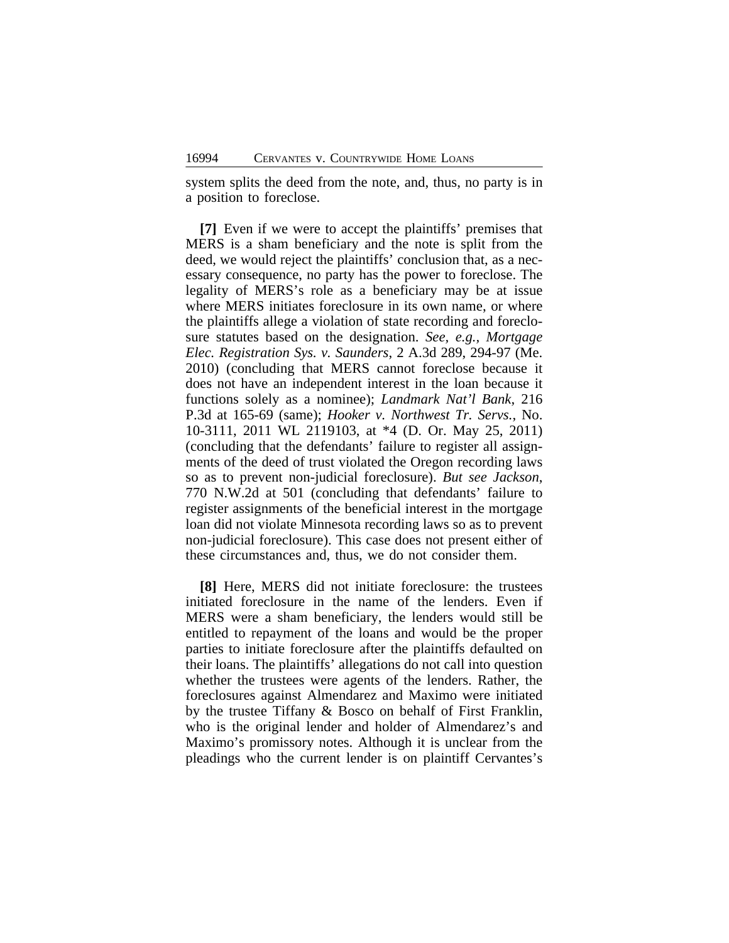system splits the deed from the note, and, thus, no party is in a position to foreclose.

**[7]** Even if we were to accept the plaintiffs' premises that MERS is a sham beneficiary and the note is split from the deed, we would reject the plaintiffs' conclusion that, as a necessary consequence, no party has the power to foreclose. The legality of MERS's role as a beneficiary may be at issue where MERS initiates foreclosure in its own name, or where the plaintiffs allege a violation of state recording and foreclosure statutes based on the designation. *See, e.g., Mortgage Elec. Registration Sys. v. Saunders*, 2 A.3d 289, 294-97 (Me. 2010) (concluding that MERS cannot foreclose because it does not have an independent interest in the loan because it functions solely as a nominee); *Landmark Nat'l Bank*, 216 P.3d at 165-69 (same); *Hooker v. Northwest Tr. Servs.*, No. 10-3111, 2011 WL 2119103, at \*4 (D. Or. May 25, 2011) (concluding that the defendants' failure to register all assignments of the deed of trust violated the Oregon recording laws so as to prevent non-judicial foreclosure). *But see Jackson*, 770 N.W.2d at 501 (concluding that defendants' failure to register assignments of the beneficial interest in the mortgage loan did not violate Minnesota recording laws so as to prevent non-judicial foreclosure). This case does not present either of these circumstances and, thus, we do not consider them.

**[8]** Here, MERS did not initiate foreclosure: the trustees initiated foreclosure in the name of the lenders. Even if MERS were a sham beneficiary, the lenders would still be entitled to repayment of the loans and would be the proper parties to initiate foreclosure after the plaintiffs defaulted on their loans. The plaintiffs' allegations do not call into question whether the trustees were agents of the lenders. Rather, the foreclosures against Almendarez and Maximo were initiated by the trustee Tiffany & Bosco on behalf of First Franklin, who is the original lender and holder of Almendarez's and Maximo's promissory notes. Although it is unclear from the pleadings who the current lender is on plaintiff Cervantes's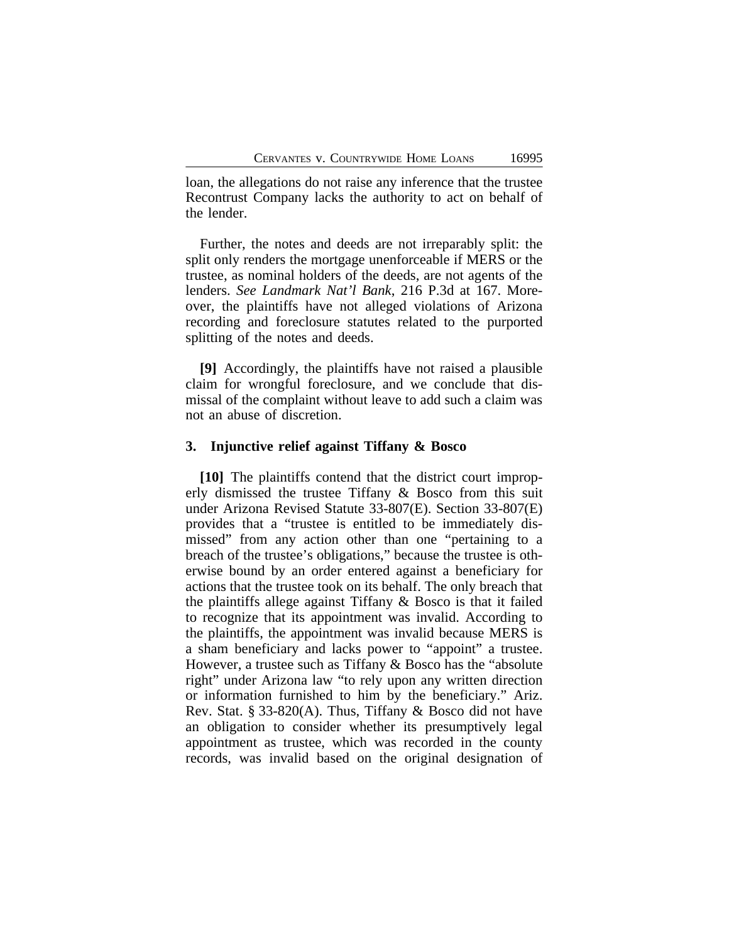loan, the allegations do not raise any inference that the trustee Recontrust Company lacks the authority to act on behalf of the lender.

Further, the notes and deeds are not irreparably split: the split only renders the mortgage unenforceable if MERS or the trustee, as nominal holders of the deeds, are not agents of the lenders. *See Landmark Nat'l Bank*, 216 P.3d at 167. Moreover, the plaintiffs have not alleged violations of Arizona recording and foreclosure statutes related to the purported splitting of the notes and deeds.

**[9]** Accordingly, the plaintiffs have not raised a plausible claim for wrongful foreclosure, and we conclude that dismissal of the complaint without leave to add such a claim was not an abuse of discretion.

### **3. Injunctive relief against Tiffany & Bosco**

**[10]** The plaintiffs contend that the district court improperly dismissed the trustee Tiffany & Bosco from this suit under Arizona Revised Statute 33-807(E). Section 33-807(E) provides that a "trustee is entitled to be immediately dismissed" from any action other than one "pertaining to a breach of the trustee's obligations," because the trustee is otherwise bound by an order entered against a beneficiary for actions that the trustee took on its behalf. The only breach that the plaintiffs allege against Tiffany & Bosco is that it failed to recognize that its appointment was invalid. According to the plaintiffs, the appointment was invalid because MERS is a sham beneficiary and lacks power to "appoint" a trustee. However, a trustee such as Tiffany & Bosco has the "absolute right" under Arizona law "to rely upon any written direction or information furnished to him by the beneficiary." Ariz. Rev. Stat. § 33-820(A). Thus, Tiffany & Bosco did not have an obligation to consider whether its presumptively legal appointment as trustee, which was recorded in the county records, was invalid based on the original designation of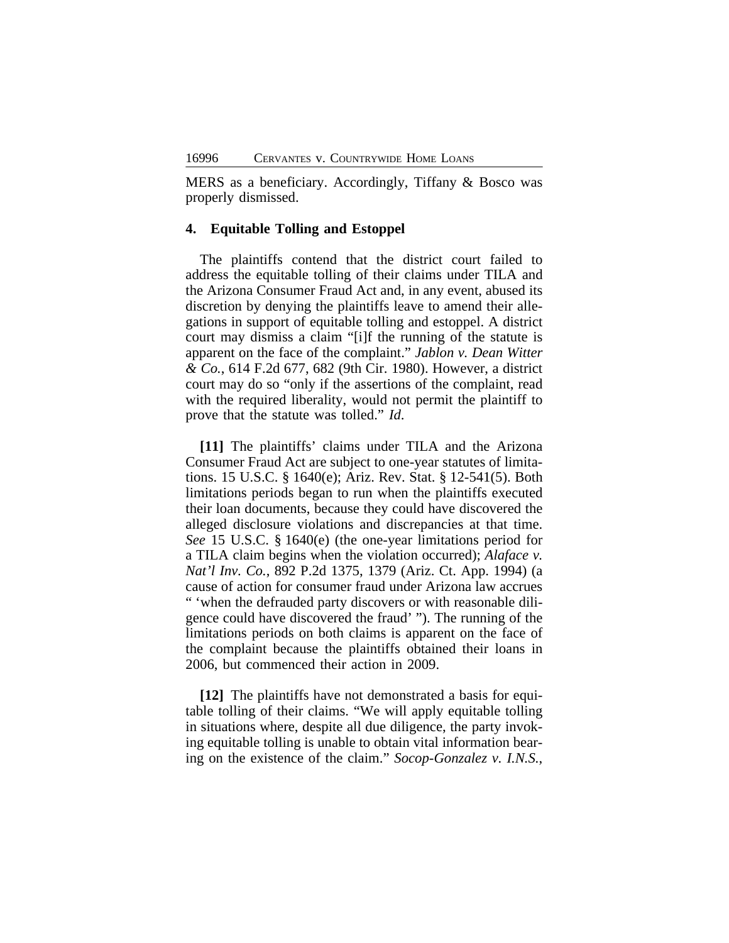MERS as a beneficiary. Accordingly, Tiffany & Bosco was properly dismissed.

# **4. Equitable Tolling and Estoppel**

The plaintiffs contend that the district court failed to address the equitable tolling of their claims under TILA and the Arizona Consumer Fraud Act and, in any event, abused its discretion by denying the plaintiffs leave to amend their allegations in support of equitable tolling and estoppel. A district court may dismiss a claim "[i]f the running of the statute is apparent on the face of the complaint." *Jablon v. Dean Witter & Co.*, 614 F.2d 677, 682 (9th Cir. 1980). However, a district court may do so "only if the assertions of the complaint, read with the required liberality, would not permit the plaintiff to prove that the statute was tolled." *Id*.

**[11]** The plaintiffs' claims under TILA and the Arizona Consumer Fraud Act are subject to one-year statutes of limitations. 15 U.S.C. § 1640(e); Ariz. Rev. Stat. § 12-541(5). Both limitations periods began to run when the plaintiffs executed their loan documents, because they could have discovered the alleged disclosure violations and discrepancies at that time. *See* 15 U.S.C. § 1640(e) (the one-year limitations period for a TILA claim begins when the violation occurred); *Alaface v. Nat'l Inv. Co.*, 892 P.2d 1375, 1379 (Ariz. Ct. App. 1994) (a cause of action for consumer fraud under Arizona law accrues " 'when the defrauded party discovers or with reasonable diligence could have discovered the fraud' "). The running of the limitations periods on both claims is apparent on the face of the complaint because the plaintiffs obtained their loans in 2006, but commenced their action in 2009.

**[12]** The plaintiffs have not demonstrated a basis for equitable tolling of their claims. "We will apply equitable tolling in situations where, despite all due diligence, the party invoking equitable tolling is unable to obtain vital information bearing on the existence of the claim." *Socop-Gonzalez v. I.N.S.*,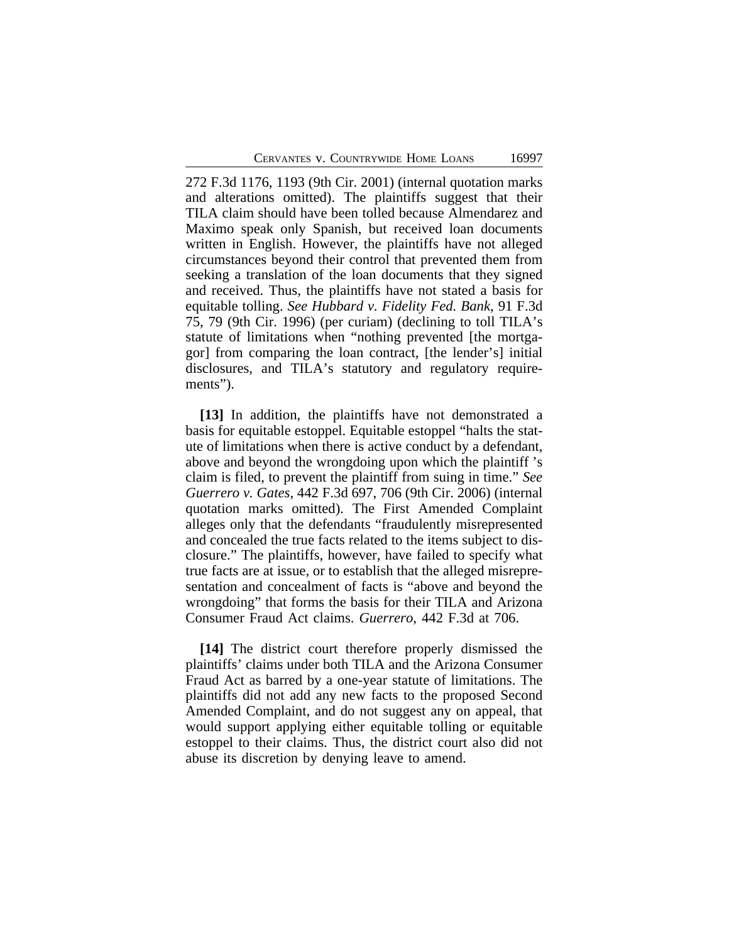272 F.3d 1176, 1193 (9th Cir. 2001) (internal quotation marks and alterations omitted). The plaintiffs suggest that their TILA claim should have been tolled because Almendarez and Maximo speak only Spanish, but received loan documents written in English. However, the plaintiffs have not alleged circumstances beyond their control that prevented them from seeking a translation of the loan documents that they signed and received. Thus, the plaintiffs have not stated a basis for equitable tolling. *See Hubbard v. Fidelity Fed. Bank*, 91 F.3d 75, 79 (9th Cir. 1996) (per curiam) (declining to toll TILA's statute of limitations when "nothing prevented [the mortgagor] from comparing the loan contract, [the lender's] initial disclosures, and TILA's statutory and regulatory requirements").

**[13]** In addition, the plaintiffs have not demonstrated a basis for equitable estoppel. Equitable estoppel "halts the statute of limitations when there is active conduct by a defendant, above and beyond the wrongdoing upon which the plaintiff 's claim is filed, to prevent the plaintiff from suing in time." *See Guerrero v. Gates*, 442 F.3d 697, 706 (9th Cir. 2006) (internal quotation marks omitted). The First Amended Complaint alleges only that the defendants "fraudulently misrepresented and concealed the true facts related to the items subject to disclosure." The plaintiffs, however, have failed to specify what true facts are at issue, or to establish that the alleged misrepresentation and concealment of facts is "above and beyond the wrongdoing" that forms the basis for their TILA and Arizona Consumer Fraud Act claims. *Guerrero*, 442 F.3d at 706.

**[14]** The district court therefore properly dismissed the plaintiffs' claims under both TILA and the Arizona Consumer Fraud Act as barred by a one-year statute of limitations. The plaintiffs did not add any new facts to the proposed Second Amended Complaint, and do not suggest any on appeal, that would support applying either equitable tolling or equitable estoppel to their claims. Thus, the district court also did not abuse its discretion by denying leave to amend.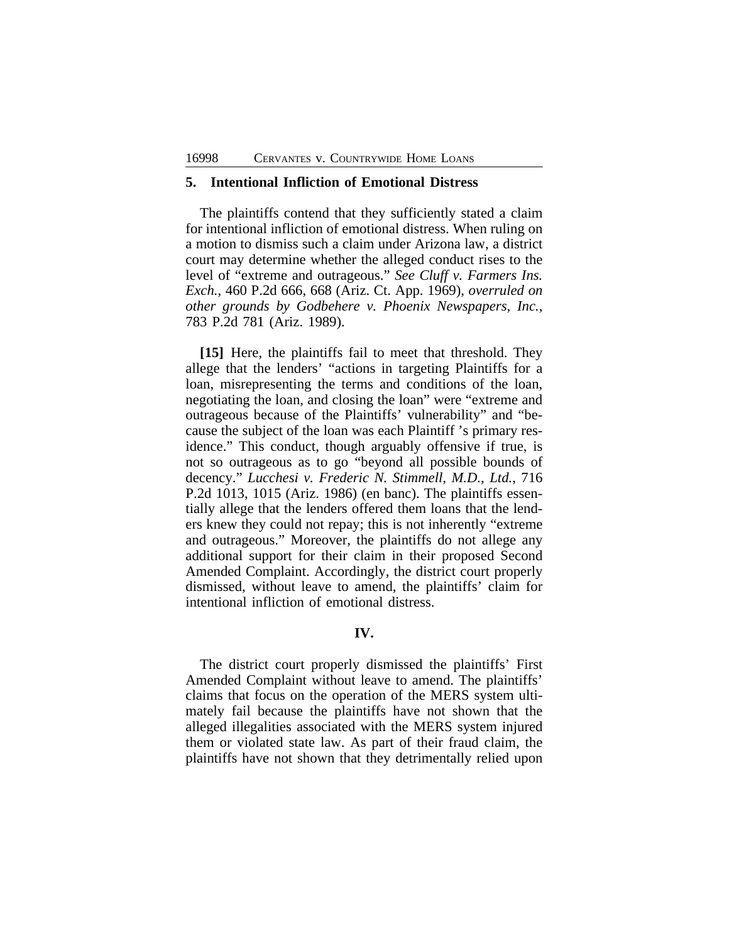### **5. Intentional Infliction of Emotional Distress**

The plaintiffs contend that they sufficiently stated a claim for intentional infliction of emotional distress. When ruling on a motion to dismiss such a claim under Arizona law, a district court may determine whether the alleged conduct rises to the level of "extreme and outrageous." *See Cluff v. Farmers Ins. Exch.*, 460 P.2d 666, 668 (Ariz. Ct. App. 1969), *overruled on other grounds by Godbehere v. Phoenix Newspapers, Inc.*, 783 P.2d 781 (Ariz. 1989).

**[15]** Here, the plaintiffs fail to meet that threshold. They allege that the lenders' "actions in targeting Plaintiffs for a loan, misrepresenting the terms and conditions of the loan, negotiating the loan, and closing the loan" were "extreme and outrageous because of the Plaintiffs' vulnerability" and "because the subject of the loan was each Plaintiff 's primary residence." This conduct, though arguably offensive if true, is not so outrageous as to go "beyond all possible bounds of decency." *Lucchesi v. Frederic N. Stimmell, M.D., Ltd.*, 716 P.2d 1013, 1015 (Ariz. 1986) (en banc). The plaintiffs essentially allege that the lenders offered them loans that the lenders knew they could not repay; this is not inherently "extreme and outrageous." Moreover, the plaintiffs do not allege any additional support for their claim in their proposed Second Amended Complaint. Accordingly, the district court properly dismissed, without leave to amend, the plaintiffs' claim for intentional infliction of emotional distress.

### **IV.**

The district court properly dismissed the plaintiffs' First Amended Complaint without leave to amend. The plaintiffs' claims that focus on the operation of the MERS system ultimately fail because the plaintiffs have not shown that the alleged illegalities associated with the MERS system injured them or violated state law. As part of their fraud claim, the plaintiffs have not shown that they detrimentally relied upon